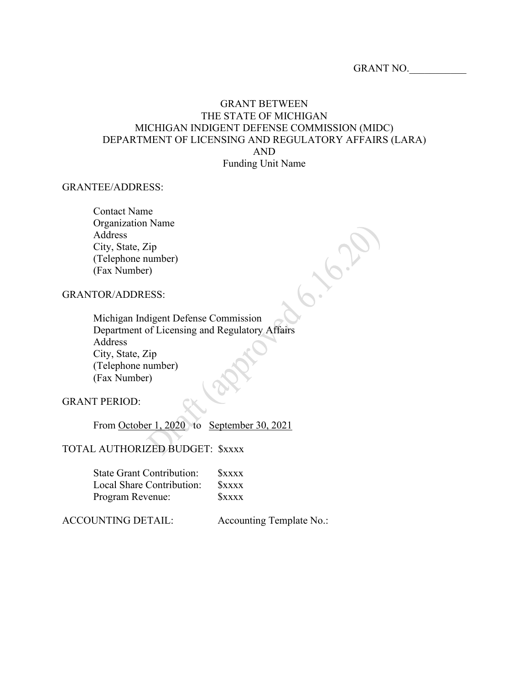**1.6.2** 

# GRANT BETWEEN THE STATE OF MICHIGAN MICHIGAN INDIGENT DEFENSE COMMISSION (MIDC) DEPARTMENT OF LICENSING AND REGULATORY AFFAIRS (LARA) AND Funding Unit Name

#### GRANTEE/ADDRESS:

Contact Name Organization Name Address City, State, Zip (Telephone number) (Fax Number)

# GRANTOR/ADDRESS:

Michigan Indigent Defense Commission Department of Licensing and Regulatory Affairs Address City, State, Zip (Telephone number) (Fax Number)

GRANT PERIOD:

From October 1, 2020 to September 30, 2021

## TOTAL AUTHORIZED BUDGET: \$xxxx

| <b>State Grant Contribution:</b> | <b>SXXXX</b> |
|----------------------------------|--------------|
| Local Share Contribution:        | <b>SXXXX</b> |
| Program Revenue:                 | <b>SXXXX</b> |

#### ACCOUNTING DETAIL: Accounting Template No.: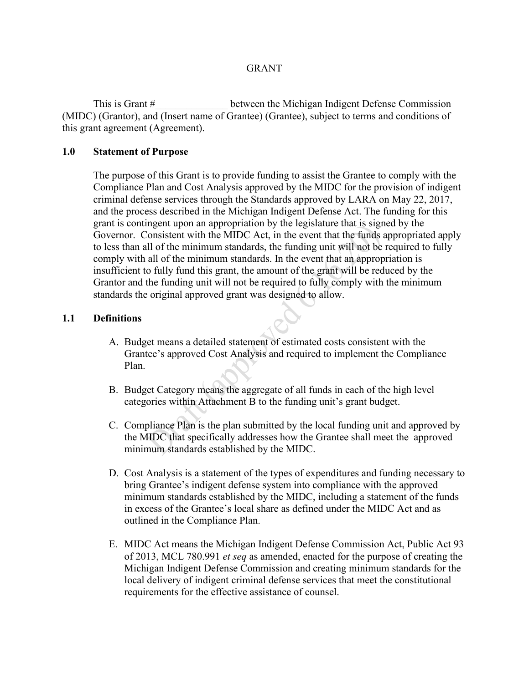## **GRANT**

This is Grant # This is Grant # between the Michigan Indigent Defense Commission (MIDC) (Grantor), and (Insert name of Grantee) (Grantee), subject to terms and conditions of this grant agreement (Agreement).

## **1.0 Statement of Purpose**

The purpose of this Grant is to provide funding to assist the Grantee to comply with the Compliance Plan and Cost Analysis approved by the MIDC for the provision of indigent criminal defense services through the Standards approved by LARA on May 22, 2017, and the process described in the Michigan Indigent Defense Act. The funding for this grant is contingent upon an appropriation by the legislature that is signed by the Governor. Consistent with the MIDC Act, in the event that the funds appropriated apply to less than all of the minimum standards, the funding unit will not be required to fully comply with all of the minimum standards. In the event that an appropriation is insufficient to fully fund this grant, the amount of the grant will be reduced by the Grantor and the funding unit will not be required to fully comply with the minimum standards the original approved grant was designed to allow.

#### **1.1 Definitions**

- A. Budget means a detailed statement of estimated costs consistent with the Grantee's approved Cost Analysis and required to implement the Compliance Plan.
- B. Budget Category means the aggregate of all funds in each of the high level categories within Attachment B to the funding unit's grant budget.
- C. Compliance Plan is the plan submitted by the local funding unit and approved by the MIDC that specifically addresses how the Grantee shall meet the approved minimum standards established by the MIDC.
- D. Cost Analysis is a statement of the types of expenditures and funding necessary to bring Grantee's indigent defense system into compliance with the approved minimum standards established by the MIDC, including a statement of the funds in excess of the Grantee's local share as defined under the MIDC Act and as outlined in the Compliance Plan.
- E. MIDC Act means the Michigan Indigent Defense Commission Act, Public Act 93 of 2013, MCL 780.991 *et seq* as amended, enacted for the purpose of creating the Michigan Indigent Defense Commission and creating minimum standards for the local delivery of indigent criminal defense services that meet the constitutional requirements for the effective assistance of counsel.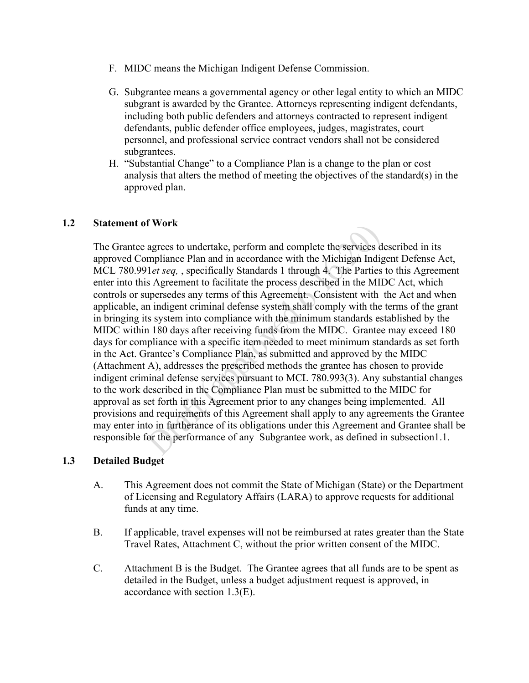- F. MIDC means the Michigan Indigent Defense Commission.
- G. Subgrantee means a governmental agency or other legal entity to which an MIDC subgrant is awarded by the Grantee. Attorneys representing indigent defendants, including both public defenders and attorneys contracted to represent indigent defendants, public defender office employees, judges, magistrates, court personnel, and professional service contract vendors shall not be considered subgrantees.
- H. "Substantial Change" to a Compliance Plan is a change to the plan or cost analysis that alters the method of meeting the objectives of the standard(s) in the approved plan.

# **1.2 Statement of Work**

The Grantee agrees to undertake, perform and complete the services described in its approved Compliance Plan and in accordance with the Michigan Indigent Defense Act, MCL 780.991*et seq,* , specifically Standards 1 through 4. The Parties to this Agreement enter into this Agreement to facilitate the process described in the MIDC Act, which controls or supersedes any terms of this Agreement. Consistent with the Act and when applicable, an indigent criminal defense system shall comply with the terms of the grant in bringing its system into compliance with the minimum standards established by the MIDC within 180 days after receiving funds from the MIDC. Grantee may exceed 180 days for compliance with a specific item needed to meet minimum standards as set forth in the Act. Grantee's Compliance Plan, as submitted and approved by the MIDC (Attachment A), addresses the prescribed methods the grantee has chosen to provide indigent criminal defense services pursuant to MCL 780.993(3). Any substantial changes to the work described in the Compliance Plan must be submitted to the MIDC for approval as set forth in this Agreement prior to any changes being implemented. All provisions and requirements of this Agreement shall apply to any agreements the Grantee may enter into in furtherance of its obligations under this Agreement and Grantee shall be responsible for the performance of any Subgrantee work, as defined in subsection1.1.

## **1.3 Detailed Budget**

- A. This Agreement does not commit the State of Michigan (State) or the Department of Licensing and Regulatory Affairs (LARA) to approve requests for additional funds at any time.
- B. If applicable, travel expenses will not be reimbursed at rates greater than the State Travel Rates, Attachment C, without the prior written consent of the MIDC.
- C. Attachment B is the Budget. The Grantee agrees that all funds are to be spent as detailed in the Budget, unless a budget adjustment request is approved, in accordance with section 1.3(E).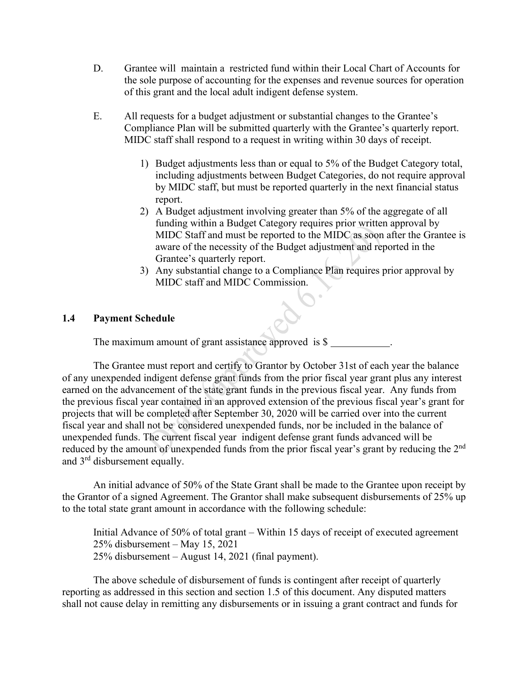- D. Grantee will maintain a restricted fund within their Local Chart of Accounts for the sole purpose of accounting for the expenses and revenue sources for operation of this grant and the local adult indigent defense system.
- E. All requests for a budget adjustment or substantial changes to the Grantee's Compliance Plan will be submitted quarterly with the Grantee's quarterly report. MIDC staff shall respond to a request in writing within 30 days of receipt.
	- 1) Budget adjustments less than or equal to 5% of the Budget Category total, including adjustments between Budget Categories, do not require approval by MIDC staff, but must be reported quarterly in the next financial status report.
	- 2) A Budget adjustment involving greater than 5% of the aggregate of all funding within a Budget Category requires prior written approval by MIDC Staff and must be reported to the MIDC as soon after the Grantee is aware of the necessity of the Budget adjustment and reported in the Grantee's quarterly report.
	- 3) Any substantial change to a Compliance Plan requires prior approval by MIDC staff and MIDC Commission.

## **1.4 Payment Schedule**

The maximum amount of grant assistance approved is  $\$ 

The Grantee must report and certify to Grantor by October 31st of each year the balance of any unexpended indigent defense grant funds from the prior fiscal year grant plus any interest earned on the advancement of the state grant funds in the previous fiscal year. Any funds from the previous fiscal year contained in an approved extension of the previous fiscal year's grant for projects that will be completed after September 30, 2020 will be carried over into the current fiscal year and shall not be considered unexpended funds, nor be included in the balance of unexpended funds. The current fiscal year indigent defense grant funds advanced will be reduced by the amount of unexpended funds from the prior fiscal year's grant by reducing the 2<sup>nd</sup> and 3rd disbursement equally.

An initial advance of 50% of the State Grant shall be made to the Grantee upon receipt by the Grantor of a signed Agreement. The Grantor shall make subsequent disbursements of 25% up to the total state grant amount in accordance with the following schedule:

Initial Advance of 50% of total grant – Within 15 days of receipt of executed agreement 25% disbursement – May 15, 2021 25% disbursement – August 14, 2021 (final payment).

The above schedule of disbursement of funds is contingent after receipt of quarterly reporting as addressed in this section and section 1.5 of this document. Any disputed matters shall not cause delay in remitting any disbursements or in issuing a grant contract and funds for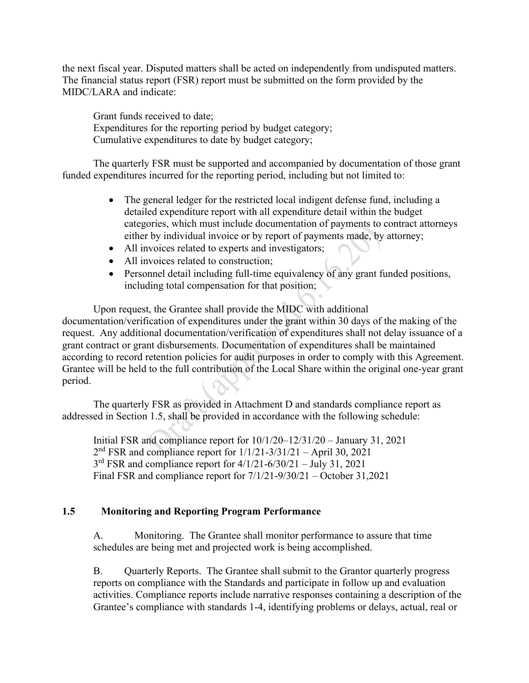the next fiscal year. Disputed matters shall be acted on independently from undisputed matters. The financial status report (FSR) report must be submitted on the form provided by the MIDC/LARA and indicate:

Grant funds received to date; Expenditures for the reporting period by budget category; Cumulative expenditures to date by budget category;

The quarterly FSR must be supported and accompanied by documentation of those grant funded expenditures incurred for the reporting period, including but not limited to:

- The general ledger for the restricted local indigent defense fund, including a detailed expenditure report with all expenditure detail within the budget categories, which must include documentation of payments to contract attorneys either by individual invoice or by report of payments made, by attorney;
- All invoices related to experts and investigators;
- All invoices related to construction;
- Personnel detail including full-time equivalency of any grant funded positions, including total compensation for that position;

Upon request, the Grantee shall provide the MIDC with additional documentation/verification of expenditures under the grant within 30 days of the making of the request. Any additional documentation/verification of expenditures shall not delay issuance of a grant contract or grant disbursements. Documentation of expenditures shall be maintained according to record retention policies for audit purposes in order to comply with this Agreement. Grantee will be held to the full contribution of the Local Share within the original one-year grant period.

The quarterly FSR as provided in Attachment D and standards compliance report as addressed in Section 1.5, shall be provided in accordance with the following schedule:

Initial FSR and compliance report for 10/1/20–12/31/20 – January 31, 2021 2nd FSR and compliance report for 1/1/21-3/31/21 – April 30, 2021  $3<sup>rd</sup> FSR$  and compliance report for  $4/1/21-6/30/21-$  July 31, 2021 Final FSR and compliance report for 7/1/21-9/30/21 – October 31,2021

# **1.5 Monitoring and Reporting Program Performance**

A. Monitoring. The Grantee shall monitor performance to assure that time schedules are being met and projected work is being accomplished.

B. Quarterly Reports. The Grantee shall submit to the Grantor quarterly progress reports on compliance with the Standards and participate in follow up and evaluation activities. Compliance reports include narrative responses containing a description of the Grantee's compliance with standards 1-4, identifying problems or delays, actual, real or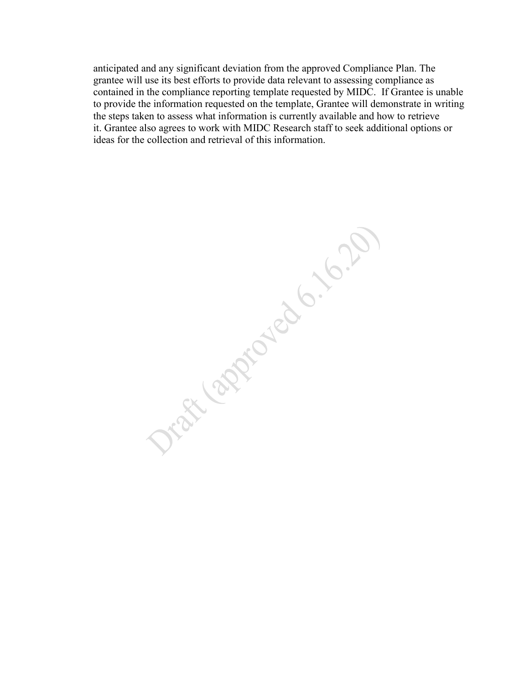anticipated and any significant deviation from the approved Compliance Plan. The grantee will use its best efforts to provide data relevant to assessing compliance as contained in the compliance reporting template requested by MIDC. If Grantee is unable to provide the information requested on the template, Grantee will demonstrate in writing the steps taken to assess what information is currently available and how to retrieve it. Grantee also agrees to work with MIDC Research staff to seek additional options or ideas for the collection and retrieval of this information.

Discharged City 10.20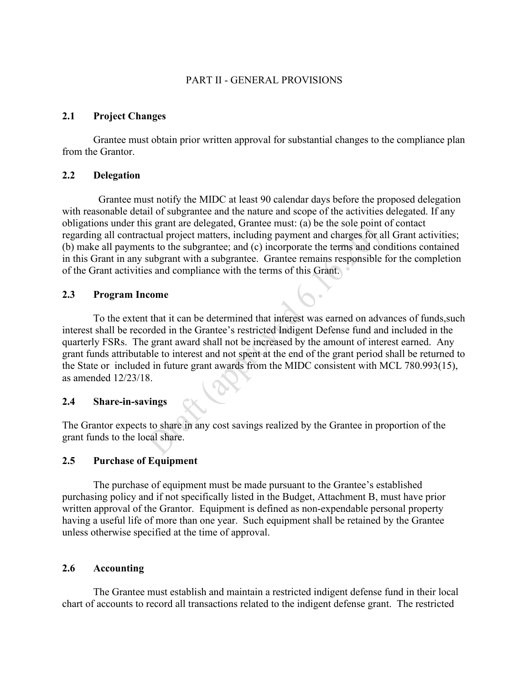## PART II - GENERAL PROVISIONS

## **2.1 Project Changes**

Grantee must obtain prior written approval for substantial changes to the compliance plan from the Grantor.

#### **2.2 Delegation**

 Grantee must notify the MIDC at least 90 calendar days before the proposed delegation with reasonable detail of subgrantee and the nature and scope of the activities delegated. If any obligations under this grant are delegated, Grantee must: (a) be the sole point of contact regarding all contractual project matters, including payment and charges for all Grant activities; (b) make all payments to the subgrantee; and (c) incorporate the terms and conditions contained in this Grant in any subgrant with a subgrantee. Grantee remains responsible for the completion of the Grant activities and compliance with the terms of this Grant.

#### **2.3 Program Income**

To the extent that it can be determined that interest was earned on advances of funds,such interest shall be recorded in the Grantee's restricted Indigent Defense fund and included in the quarterly FSRs. The grant award shall not be increased by the amount of interest earned. Any grant funds attributable to interest and not spent at the end of the grant period shall be returned to the State or included in future grant awards from the MIDC consistent with MCL 780.993(15), as amended 12/23/18.

#### **2.4 Share-in-savings**

The Grantor expects to share in any cost savings realized by the Grantee in proportion of the grant funds to the local share.

## **2.5 Purchase of Equipment**

The purchase of equipment must be made pursuant to the Grantee's established purchasing policy and if not specifically listed in the Budget, Attachment B, must have prior written approval of the Grantor. Equipment is defined as non-expendable personal property having a useful life of more than one year. Such equipment shall be retained by the Grantee unless otherwise specified at the time of approval.

#### **2.6 Accounting**

The Grantee must establish and maintain a restricted indigent defense fund in their local chart of accounts to record all transactions related to the indigent defense grant. The restricted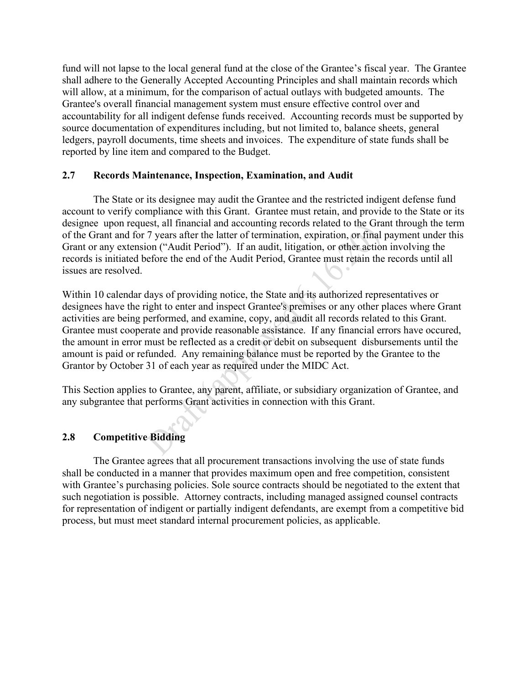fund will not lapse to the local general fund at the close of the Grantee's fiscal year. The Grantee shall adhere to the Generally Accepted Accounting Principles and shall maintain records which will allow, at a minimum, for the comparison of actual outlays with budgeted amounts. The Grantee's overall financial management system must ensure effective control over and accountability for all indigent defense funds received. Accounting records must be supported by source documentation of expenditures including, but not limited to, balance sheets, general ledgers, payroll documents, time sheets and invoices. The expenditure of state funds shall be reported by line item and compared to the Budget.

## **2.7 Records Maintenance, Inspection, Examination, and Audit**

The State or its designee may audit the Grantee and the restricted indigent defense fund account to verify compliance with this Grant. Grantee must retain, and provide to the State or its designee upon request, all financial and accounting records related to the Grant through the term of the Grant and for 7 years after the latter of termination, expiration, or final payment under this Grant or any extension ("Audit Period"). If an audit, litigation, or other action involving the records is initiated before the end of the Audit Period, Grantee must retain the records until all issues are resolved.

Within 10 calendar days of providing notice, the State and its authorized representatives or designees have the right to enter and inspect Grantee's premises or any other places where Grant activities are being performed, and examine, copy, and audit all records related to this Grant. Grantee must cooperate and provide reasonable assistance. If any financial errors have occured, the amount in error must be reflected as a credit or debit on subsequent disbursements until the amount is paid or refunded. Any remaining balance must be reported by the Grantee to the Grantor by October 31 of each year as required under the MIDC Act.

This Section applies to Grantee, any parent, affiliate, or subsidiary organization of Grantee, and any subgrantee that performs Grant activities in connection with this Grant.

# **2.8 Competitive Bidding**

The Grantee agrees that all procurement transactions involving the use of state funds shall be conducted in a manner that provides maximum open and free competition, consistent with Grantee's purchasing policies. Sole source contracts should be negotiated to the extent that such negotiation is possible. Attorney contracts, including managed assigned counsel contracts for representation of indigent or partially indigent defendants, are exempt from a competitive bid process, but must meet standard internal procurement policies, as applicable.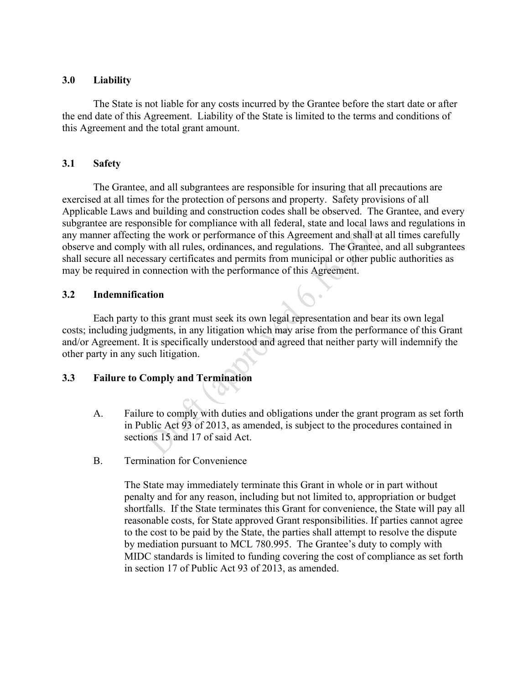# **3.0 Liability**

The State is not liable for any costs incurred by the Grantee before the start date or after the end date of this Agreement. Liability of the State is limited to the terms and conditions of this Agreement and the total grant amount.

# **3.1 Safety**

The Grantee, and all subgrantees are responsible for insuring that all precautions are exercised at all times for the protection of persons and property. Safety provisions of all Applicable Laws and building and construction codes shall be observed. The Grantee, and every subgrantee are responsible for compliance with all federal, state and local laws and regulations in any manner affecting the work or performance of this Agreement and shall at all times carefully observe and comply with all rules, ordinances, and regulations. The Grantee, and all subgrantees shall secure all necessary certificates and permits from municipal or other public authorities as may be required in connection with the performance of this Agreement.

# **3.2 Indemnification**

Each party to this grant must seek its own legal representation and bear its own legal costs; including judgments, in any litigation which may arise from the performance of this Grant and/or Agreement. It is specifically understood and agreed that neither party will indemnify the other party in any such litigation.

 $\mathcal{C}$ 

# **3.3 Failure to Comply and Termination**

- A. Failure to comply with duties and obligations under the grant program as set forth in Public Act 93 of 2013, as amended, is subject to the procedures contained in sections 15 and 17 of said Act.
- B. Termination for Convenience

The State may immediately terminate this Grant in whole or in part without penalty and for any reason, including but not limited to, appropriation or budget shortfalls. If the State terminates this Grant for convenience, the State will pay all reasonable costs, for State approved Grant responsibilities. If parties cannot agree to the cost to be paid by the State, the parties shall attempt to resolve the dispute by mediation pursuant to MCL 780.995. The Grantee's duty to comply with MIDC standards is limited to funding covering the cost of compliance as set forth in section 17 of Public Act 93 of 2013, as amended.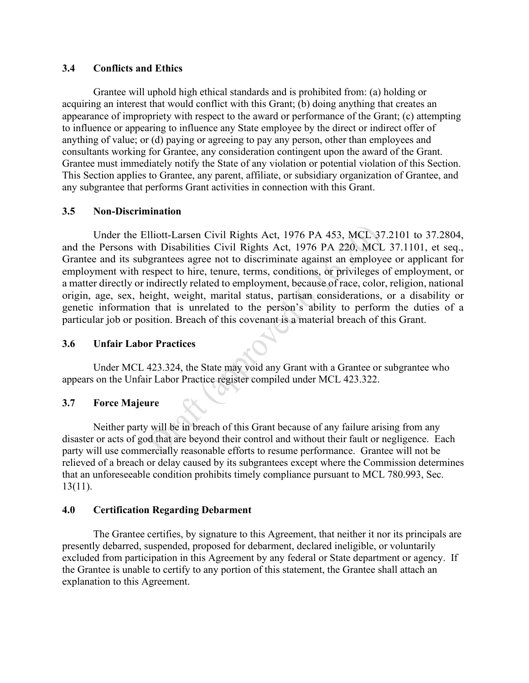# **3.4 Conflicts and Ethics**

Grantee will uphold high ethical standards and is prohibited from: (a) holding or acquiring an interest that would conflict with this Grant; (b) doing anything that creates an appearance of impropriety with respect to the award or performance of the Grant; (c) attempting to influence or appearing to influence any State employee by the direct or indirect offer of anything of value; or (d) paying or agreeing to pay any person, other than employees and consultants working for Grantee, any consideration contingent upon the award of the Grant. Grantee must immediately notify the State of any violation or potential violation of this Section. This Section applies to Grantee, any parent, affiliate, or subsidiary organization of Grantee, and any subgrantee that performs Grant activities in connection with this Grant.

# **3.5 Non-Discrimination**

Under the Elliott-Larsen Civil Rights Act, 1976 PA 453, MCL 37.2101 to 37.2804, and the Persons with Disabilities Civil Rights Act, 1976 PA 220, MCL 37.1101, et seq., Grantee and its subgrantees agree not to discriminate against an employee or applicant for employment with respect to hire, tenure, terms, conditions, or privileges of employment, or a matter directly or indirectly related to employment, because of race, color, religion, national origin, age, sex, height, weight, marital status, partisan considerations, or a disability or genetic information that is unrelated to the person's ability to perform the duties of a particular job or position. Breach of this covenant is a material breach of this Grant.

# **3.6 Unfair Labor Practices**

Under MCL 423.324, the State may void any Grant with a Grantee or subgrantee who appears on the Unfair Labor Practice register compiled under MCL 423.322.

# **3.7 Force Majeure**

Neither party will be in breach of this Grant because of any failure arising from any disaster or acts of god that are beyond their control and without their fault or negligence. Each party will use commercially reasonable efforts to resume performance. Grantee will not be relieved of a breach or delay caused by its subgrantees except where the Commission determines that an unforeseeable condition prohibits timely compliance pursuant to MCL 780.993, Sec. 13(11).

## **4.0 Certification Regarding Debarment**

The Grantee certifies, by signature to this Agreement, that neither it nor its principals are presently debarred, suspended, proposed for debarment, declared ineligible, or voluntarily excluded from participation in this Agreement by any federal or State department or agency. If the Grantee is unable to certify to any portion of this statement, the Grantee shall attach an explanation to this Agreement.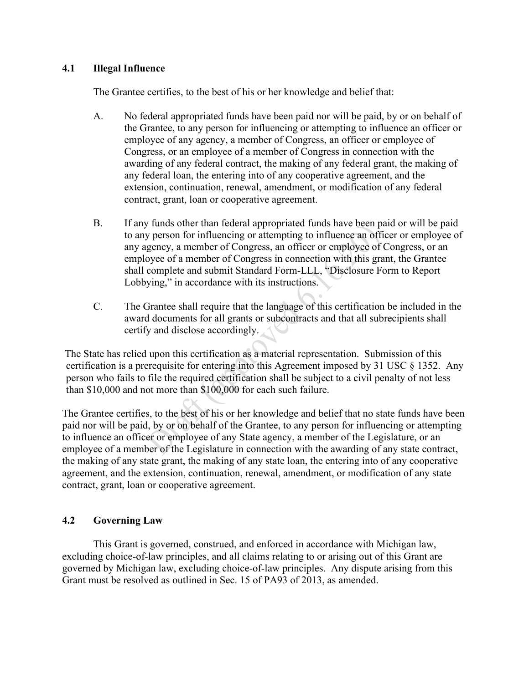# **4.1 Illegal Influence**

The Grantee certifies, to the best of his or her knowledge and belief that:

- A. No federal appropriated funds have been paid nor will be paid, by or on behalf of the Grantee, to any person for influencing or attempting to influence an officer or employee of any agency, a member of Congress, an officer or employee of Congress, or an employee of a member of Congress in connection with the awarding of any federal contract, the making of any federal grant, the making of any federal loan, the entering into of any cooperative agreement, and the extension, continuation, renewal, amendment, or modification of any federal contract, grant, loan or cooperative agreement.
- B. If any funds other than federal appropriated funds have been paid or will be paid to any person for influencing or attempting to influence an officer or employee of any agency, a member of Congress, an officer or employee of Congress, or an employee of a member of Congress in connection with this grant, the Grantee shall complete and submit Standard Form-LLL, "Disclosure Form to Report Lobbying," in accordance with its instructions.
- C. The Grantee shall require that the language of this certification be included in the award documents for all grants or subcontracts and that all subrecipients shall certify and disclose accordingly.

The State has relied upon this certification as a material representation. Submission of this certification is a prerequisite for entering into this Agreement imposed by 31 USC § 1352. Any person who fails to file the required certification shall be subject to a civil penalty of not less than \$10,000 and not more than \$100,000 for each such failure.

The Grantee certifies, to the best of his or her knowledge and belief that no state funds have been paid nor will be paid, by or on behalf of the Grantee, to any person for influencing or attempting to influence an officer or employee of any State agency, a member of the Legislature, or an employee of a member of the Legislature in connection with the awarding of any state contract, the making of any state grant, the making of any state loan, the entering into of any cooperative agreement, and the extension, continuation, renewal, amendment, or modification of any state contract, grant, loan or cooperative agreement.

# **4.2 Governing Law**

This Grant is governed, construed, and enforced in accordance with Michigan law, excluding choice-of-law principles, and all claims relating to or arising out of this Grant are governed by Michigan law, excluding choice-of-law principles. Any dispute arising from this Grant must be resolved as outlined in Sec. 15 of PA93 of 2013, as amended.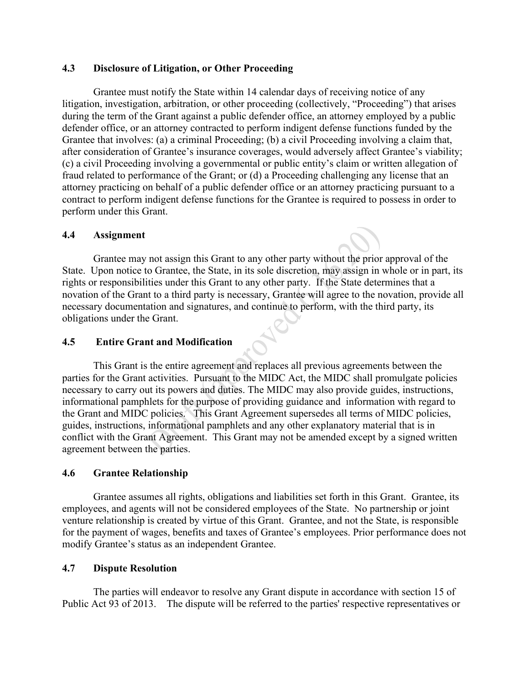# **4.3 Disclosure of Litigation, or Other Proceeding**

Grantee must notify the State within 14 calendar days of receiving notice of any litigation, investigation, arbitration, or other proceeding (collectively, "Proceeding") that arises during the term of the Grant against a public defender office, an attorney employed by a public defender office, or an attorney contracted to perform indigent defense functions funded by the Grantee that involves: (a) a criminal Proceeding; (b) a civil Proceeding involving a claim that, after consideration of Grantee's insurance coverages, would adversely affect Grantee's viability; (c) a civil Proceeding involving a governmental or public entity's claim or written allegation of fraud related to performance of the Grant; or (d) a Proceeding challenging any license that an attorney practicing on behalf of a public defender office or an attorney practicing pursuant to a contract to perform indigent defense functions for the Grantee is required to possess in order to perform under this Grant.

## **4.4 Assignment**

Grantee may not assign this Grant to any other party without the prior approval of the State. Upon notice to Grantee, the State, in its sole discretion, may assign in whole or in part, its rights or responsibilities under this Grant to any other party. If the State determines that a novation of the Grant to a third party is necessary, Grantee will agree to the novation, provide all necessary documentation and signatures, and continue to perform, with the third party, its obligations under the Grant.

# **4.5 Entire Grant and Modification**

This Grant is the entire agreement and replaces all previous agreements between the parties for the Grant activities. Pursuant to the MIDC Act, the MIDC shall promulgate policies necessary to carry out its powers and duties. The MIDC may also provide guides, instructions, informational pamphlets for the purpose of providing guidance and information with regard to the Grant and MIDC policies. This Grant Agreement supersedes all terms of MIDC policies, guides, instructions, informational pamphlets and any other explanatory material that is in conflict with the Grant Agreement. This Grant may not be amended except by a signed written agreement between the parties.

# **4.6 Grantee Relationship**

Grantee assumes all rights, obligations and liabilities set forth in this Grant. Grantee, its employees, and agents will not be considered employees of the State. No partnership or joint venture relationship is created by virtue of this Grant. Grantee, and not the State, is responsible for the payment of wages, benefits and taxes of Grantee's employees. Prior performance does not modify Grantee's status as an independent Grantee.

## **4.7 Dispute Resolution**

The parties will endeavor to resolve any Grant dispute in accordance with section 15 of Public Act 93 of 2013. The dispute will be referred to the parties' respective representatives or